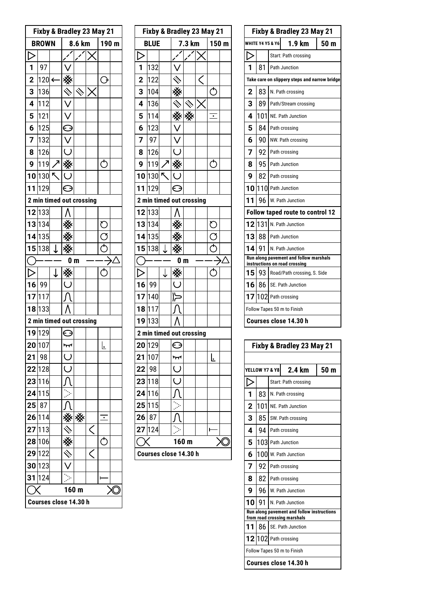| Fixby & Bradley 23 May 21 |                          |   |                         |                  |       |                                                            |  |
|---------------------------|--------------------------|---|-------------------------|------------------|-------|------------------------------------------------------------|--|
| <b>BROWN</b>              |                          |   |                         | 8.6 km           | 190 m |                                                            |  |
|                           |                          |   |                         |                  |       |                                                            |  |
| 1                         | 97                       |   |                         |                  |       |                                                            |  |
| $\overline{2}$            | 120 $\leftarrow$         |   |                         |                  |       | ↷                                                          |  |
| 3                         | 136                      |   |                         |                  |       |                                                            |  |
| 4                         | 112                      |   |                         |                  |       |                                                            |  |
| 5                         | 121                      |   |                         |                  |       |                                                            |  |
| 6                         | 125                      |   | $\subseteq$             |                  |       |                                                            |  |
| 7                         | 132                      |   | $\vee$                  |                  |       |                                                            |  |
| 8                         | 126                      |   | $\overline{\cup}$       |                  |       |                                                            |  |
| 9                         | 119                      |   |                         |                  |       |                                                            |  |
|                           | 10 130                   | R |                         |                  |       |                                                            |  |
| 11                        | 129                      |   | ⊖                       |                  |       |                                                            |  |
|                           | 2 min timed out crossing |   |                         |                  |       |                                                            |  |
|                           | 12 133                   |   |                         |                  |       |                                                            |  |
|                           | 13 134                   |   |                         |                  |       | $\mathfrak{C}% _{M_{1},M_{2}}^{\alpha,\beta}(\varepsilon)$ |  |
|                           | 14 135                   |   |                         |                  |       | Ø                                                          |  |
|                           | 15 138                   | ↓ |                         |                  |       | Ċ                                                          |  |
|                           |                          |   | 0 <sub>m</sub>          |                  |       |                                                            |  |
|                           |                          | ↓ |                         |                  |       | Ċ                                                          |  |
| 16                        | 99                       |   | $\overline{()}$         |                  |       |                                                            |  |
|                           | 17 117                   |   |                         |                  |       |                                                            |  |
|                           | 18 133                   |   |                         |                  |       |                                                            |  |
|                           | 2 min timed out crossing |   |                         |                  |       |                                                            |  |
|                           | 19 129                   |   | ⊖                       |                  |       |                                                            |  |
|                           | 20 107                   |   | ᠇᠇                      |                  |       | L<br>Ŀ                                                     |  |
| 21                        | 98                       |   | $\overline{\cup}$       |                  |       |                                                            |  |
|                           | 22 128                   |   | $\overline{\mathsf{C}}$ |                  |       |                                                            |  |
|                           | 23 116                   |   |                         |                  |       |                                                            |  |
|                           | 24 115                   |   |                         |                  |       |                                                            |  |
| 25                        | 87                       |   |                         |                  |       |                                                            |  |
|                           | 26 114                   |   |                         | ※                |       | ٠                                                          |  |
|                           | 27 113                   |   |                         |                  |       |                                                            |  |
|                           | 28 106                   |   |                         |                  |       | $\mathfrak{c}$                                             |  |
|                           | 29 122                   |   |                         |                  | Ç     |                                                            |  |
| 30                        | 123                      |   |                         |                  |       |                                                            |  |
| 31                        | 124                      |   |                         |                  |       | ۲                                                          |  |
|                           | Courses close 14.30 h    |   |                         | 160 <sub>m</sub> |       |                                                            |  |
|                           |                          |   |                         |                  |       |                                                            |  |

|   | Fixby & Bradley 23 May 21 |                          |    |                                       |        |  |                  |  |  |
|---|---------------------------|--------------------------|----|---------------------------------------|--------|--|------------------|--|--|
| m |                           | <b>BLUE</b>              |    |                                       | 7.3 km |  | 150 <sub>m</sub> |  |  |
|   |                           |                          |    |                                       |        |  |                  |  |  |
|   | 1                         | 132                      |    |                                       |        |  |                  |  |  |
|   | $\overline{\mathbf{c}}$   | 122                      |    |                                       |        |  |                  |  |  |
|   | 3                         | 104                      |    |                                       |        |  |                  |  |  |
|   | $\overline{\mathbf{4}}$   | 136                      |    |                                       |        |  |                  |  |  |
|   | 5                         | 114                      |    |                                       |        |  | ٠                |  |  |
|   | 6                         | 123                      |    |                                       |        |  |                  |  |  |
|   | 7                         | 97                       |    |                                       |        |  |                  |  |  |
|   | 8                         | 126                      |    |                                       |        |  |                  |  |  |
|   | 9                         | 119                      |    |                                       |        |  |                  |  |  |
|   |                           | 10 130                   |    |                                       |        |  |                  |  |  |
|   | 11                        | 129                      |    | e                                     |        |  |                  |  |  |
|   |                           | 2 min timed out crossing |    |                                       |        |  |                  |  |  |
|   |                           | 12 133                   |    |                                       |        |  |                  |  |  |
|   |                           | 13 134                   |    |                                       |        |  | C                |  |  |
|   |                           | 14 135                   |    |                                       |        |  |                  |  |  |
|   |                           | 15 138                   | Τ. |                                       |        |  |                  |  |  |
|   |                           |                          |    | 0 <sub>m</sub>                        |        |  |                  |  |  |
|   |                           |                          |    |                                       |        |  |                  |  |  |
|   | 16                        | 99                       |    |                                       |        |  |                  |  |  |
|   | 17                        | 140                      |    |                                       |        |  |                  |  |  |
|   |                           | 18 117                   |    |                                       |        |  |                  |  |  |
|   |                           | 19 133                   |    |                                       |        |  |                  |  |  |
|   |                           | 2 min timed out crossing |    |                                       |        |  |                  |  |  |
|   |                           | 20 129                   |    | ⊖                                     |        |  |                  |  |  |
|   | 21                        | 107                      |    | ᠠᠩ                                    |        |  | Ŀ                |  |  |
|   | 22                        | 98                       |    | Ő                                     |        |  |                  |  |  |
|   |                           | 23 118                   |    | $\lambda$<br>$\overline{\mathcal{L}}$ |        |  |                  |  |  |
|   |                           | 24 116                   |    |                                       |        |  |                  |  |  |
|   | 25                        | 115                      |    |                                       |        |  |                  |  |  |
|   | 26                        | 87                       |    |                                       |        |  |                  |  |  |
|   | 27                        | 124                      |    |                                       |        |  | ۲                |  |  |
|   |                           |                          |    |                                       | 160 m  |  |                  |  |  |
|   | Courses close 14.30 h     |                          |    |                                       |        |  |                  |  |  |

|  |             |                             | Fixby & Bradley 23 May 21               |                                                                         |  |                 |  |  |
|--|-------------|-----------------------------|-----------------------------------------|-------------------------------------------------------------------------|--|-----------------|--|--|
|  |             | <b>WHITE Y4 Y5 &amp; Y6</b> |                                         | 1.9 km                                                                  |  | 50 <sub>m</sub> |  |  |
|  |             |                             |                                         | Start: Path crossing                                                    |  |                 |  |  |
|  | 1           | 81                          |                                         | Path Junction                                                           |  |                 |  |  |
|  |             |                             |                                         | Take care on slippery steps and narrow bridge                           |  |                 |  |  |
|  | $\mathbf 2$ | 83                          |                                         | N. Path crossing                                                        |  |                 |  |  |
|  | 3           | 89                          |                                         | Path/Stream crossing                                                    |  |                 |  |  |
|  | 4           | 101                         |                                         | NE. Path Junction                                                       |  |                 |  |  |
|  | 5           | 84 I                        |                                         | Path crossing                                                           |  |                 |  |  |
|  | 6           | 90                          |                                         | NW. Path crossing                                                       |  |                 |  |  |
|  | 7           | 92                          |                                         | Path crossing                                                           |  |                 |  |  |
|  | 8           | 95                          |                                         | Path Junction                                                           |  |                 |  |  |
|  | 9           | 82                          |                                         | Path crossing                                                           |  |                 |  |  |
|  |             |                             |                                         | 10 110 Path Junction                                                    |  |                 |  |  |
|  | 11          | 96                          |                                         | W. Path Junction                                                        |  |                 |  |  |
|  |             |                             | <b>Follow taped route to control 12</b> |                                                                         |  |                 |  |  |
|  |             |                             |                                         | $12$ 131 N. Path Junction                                               |  |                 |  |  |
|  | 13          | 88                          |                                         | <b>Path Junction</b>                                                    |  |                 |  |  |
|  | 14          | 91                          |                                         | N. Path Junction                                                        |  |                 |  |  |
|  |             |                             |                                         | Run along pavement and follow marshals<br>instructions on road crossing |  |                 |  |  |
|  | 15          | 93                          |                                         | Road/Path crossing, S. Side                                             |  |                 |  |  |
|  |             |                             |                                         | $16$   $86$   SE. Path Junction                                         |  |                 |  |  |
|  |             |                             |                                         | 17 $ 102 $ Path crossing                                                |  |                 |  |  |
|  |             |                             |                                         | Follow Tapes 50 m to Finish                                             |  |                 |  |  |
|  |             |                             |                                         | Courses close 14.30 h                                                   |  |                 |  |  |
|  |             |                             |                                         |                                                                         |  |                 |  |  |

|                | Fixby & Bradley 23 May 21 |  |                                                                           |      |  |  |  |  |
|----------------|---------------------------|--|---------------------------------------------------------------------------|------|--|--|--|--|
|                |                           |  |                                                                           |      |  |  |  |  |
|                | YELLOW Y7 & Y8            |  | 2.4 km                                                                    | 50 m |  |  |  |  |
|                |                           |  | Start: Path crossing                                                      |      |  |  |  |  |
| 1              | 83                        |  | N. Path crossing                                                          |      |  |  |  |  |
| $\overline{2}$ | 101l                      |  | NE. Path Junction                                                         |      |  |  |  |  |
| 3              | 85 I                      |  | SW. Path crossing                                                         |      |  |  |  |  |
| 4              | 94                        |  | Path crossing                                                             |      |  |  |  |  |
| 5              |                           |  | 103 Path Junction                                                         |      |  |  |  |  |
| 6              |                           |  | 100 W. Path Junction                                                      |      |  |  |  |  |
| 7              | 92                        |  | Path crossing                                                             |      |  |  |  |  |
| 8              |                           |  | 82   Path crossing                                                        |      |  |  |  |  |
| 9              | 96 I                      |  | W. Path Junction                                                          |      |  |  |  |  |
| 10             | 91                        |  | N. Path Junction                                                          |      |  |  |  |  |
|                |                           |  | Run along pavement and follow instructions<br>from road crossing marshals |      |  |  |  |  |
| 11             | 86                        |  | SE. Path Junction                                                         |      |  |  |  |  |
|                | 12 102 1                  |  | Path crossing                                                             |      |  |  |  |  |
|                |                           |  | Follow Tapes 50 m to Finish                                               |      |  |  |  |  |
|                |                           |  | Courses close 14.30 h                                                     |      |  |  |  |  |